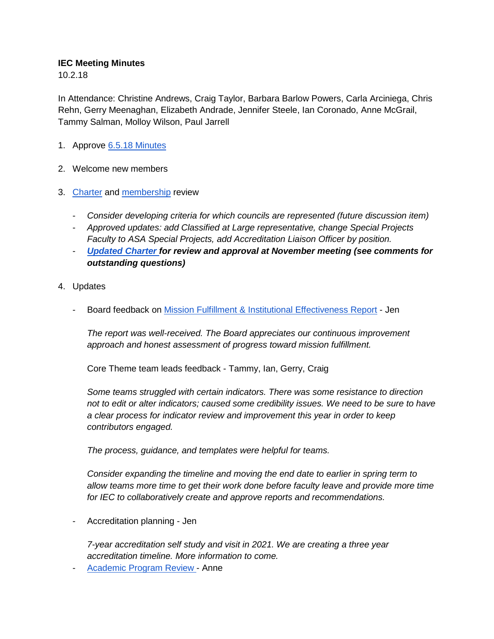## **IEC Meeting Minutes**

10.2.18

In Attendance: Christine Andrews, Craig Taylor, Barbara Barlow Powers, Carla Arciniega, Chris Rehn, Gerry Meenaghan, Elizabeth Andrade, Jennifer Steele, Ian Coronado, Anne McGrail, Tammy Salman, Molloy Wilson, Paul Jarrell

- 1. Approve [6.5.18 Minutes](https://drive.google.com/open?id=1NVGfwyOlpZTveh4C2poYxgucjz0yB2rjn7Rm3BDIoz0)
- 2. Welcome new members
- 3. [Charter](https://www.lanecc.edu/sites/default/files/sandbox/institutional_effectiveness_committee_charter.8.22.18.pdf) and [membership](https://www.lanecc.edu/planning/institutional-effectiveness-committee) review
	- *Consider developing criteria for which councils are represented (future discussion item)*
	- *Approved updates: add Classified at Large representative, change Special Projects Faculty to ASA Special Projects, add Accreditation Liaison Officer by position.*
	- *[Updated Charter f](https://drive.google.com/open?id=1RLne9AwweKyBMYARm3B55Jz5lfFxIeiCh7K0VrmtnPA)or review and approval at November meeting (see comments for outstanding questions)*
- 4. Updates
	- Board feedback on [Mission Fulfillment & Institutional Effectiveness Report](https://www.lanecc.edu/sites/default/files/planning/2018_mission_fulfillment_institutional_effectiveness_report.pdf) Jen

*The report was well-received. The Board appreciates our continuous improvement approach and honest assessment of progress toward mission fulfillment.*

Core Theme team leads feedback - Tammy, Ian, Gerry, Craig

*Some teams struggled with certain indicators. There was some resistance to direction not to edit or alter indicators; caused some credibility issues. We need to be sure to have a clear process for indicator review and improvement this year in order to keep contributors engaged.*

*The process, guidance, and templates were helpful for teams.*

*Consider expanding the timeline and moving the end date to earlier in spring term to allow teams more time to get their work done before faculty leave and provide more time for IEC to collaboratively create and approve reports and recommendations.*

- Accreditation planning - Jen

*7-year accreditation self study and visit in 2021. We are creating a three year accreditation timeline. More information to come.*

[Academic Program Review -](https://docs.google.com/presentation/d/1PiBjowxOORa-ldD1MjdzsSBA72sAWrOv-2m93W1oBrs/edit?usp=sharing) Anne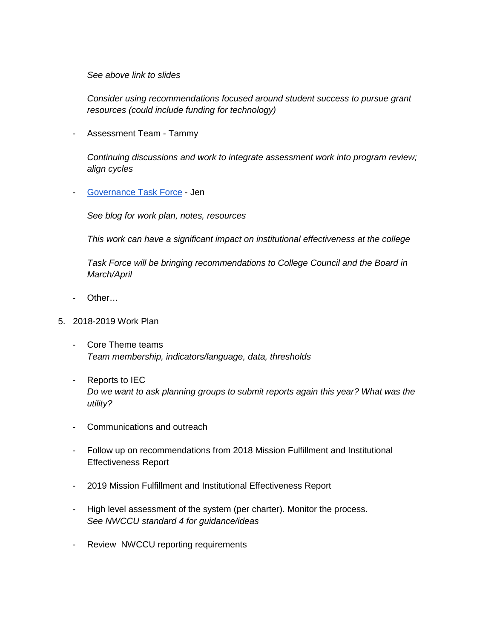*See above link to slides*

*Consider using recommendations focused around student success to pursue grant resources (could include funding for technology)*

- Assessment Team - Tammy

*Continuing discussions and work to integrate assessment work into program review; align cycles*

- [Governance Task Force](https://blogs.lanecc.edu/governance/links-resources/) - Jen

*See blog for work plan, notes, resources*

*This work can have a significant impact on institutional effectiveness at the college*

*Task Force will be bringing recommendations to College Council and the Board in March/April*

- Other…
- 5. 2018-2019 Work Plan
	- Core Theme teams *Team membership, indicators/language, data, thresholds*
	- Reports to IEC *Do we want to ask planning groups to submit reports again this year? What was the utility?*
	- Communications and outreach
	- Follow up on recommendations from 2018 Mission Fulfillment and Institutional Effectiveness Report
	- 2019 Mission Fulfillment and Institutional Effectiveness Report
	- High level assessment of the system (per charter). Monitor the process. *See NWCCU standard 4 for guidance/ideas*
	- Review NWCCU reporting requirements